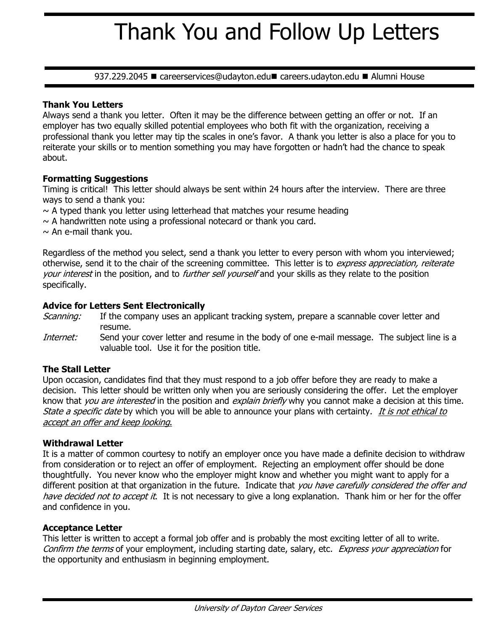# Thank You and Follow Up Letters

937.229.2045 · careerservices@udayton.edu careers.udayton.edu • Alumni House

## **Thank You Letters**

Always send a thank you letter. Often it may be the difference between getting an offer or not. If an employer has two equally skilled potential employees who both fit with the organization, receiving a professional thank you letter may tip the scales in one's favor. A thank you letter is also a place for you to reiterate your skills or to mention something you may have forgotten or hadn't had the chance to speak about.

## **Formatting Suggestions**

Timing is critical! This letter should always be sent within 24 hours after the interview. There are three ways to send a thank you:

 $\sim$  A typed thank you letter using letterhead that matches your resume heading

- $\sim$  A handwritten note using a professional notecard or thank you card.
- $\sim$  An e-mail thank you.

Regardless of the method you select, send a thank you letter to every person with whom you interviewed; otherwise, send it to the chair of the screening committee. This letter is to express appreciation, reiterate your interest in the position, and to further sell yourself and your skills as they relate to the position specifically.

## **Advice for Letters Sent Electronically**

- Scanning: If the company uses an applicant tracking system, prepare a scannable cover letter and resume.
- Internet: Send your cover letter and resume in the body of one e-mail message. The subject line is a valuable tool. Use it for the position title.

### **The Stall Letter**

Upon occasion, candidates find that they must respond to a job offer before they are ready to make a decision. This letter should be written only when you are seriously considering the offer. Let the employer know that *you are interested* in the position and *explain briefly* why you cannot make a decision at this time. State a specific date by which you will be able to announce your plans with certainty. It is not ethical to accept an offer and keep looking.

### **Withdrawal Letter**

It is a matter of common courtesy to notify an employer once you have made a definite decision to withdraw from consideration or to reject an offer of employment. Rejecting an employment offer should be done thoughtfully. You never know who the employer might know and whether you might want to apply for a different position at that organization in the future. Indicate that you have carefully considered the offer and have decided not to accept it. It is not necessary to give a long explanation. Thank him or her for the offer and confidence in you.

### **Acceptance Letter**

This letter is written to accept a formal job offer and is probably the most exciting letter of all to write. Confirm the terms of your employment, including starting date, salary, etc. Express your appreciation for the opportunity and enthusiasm in beginning employment.